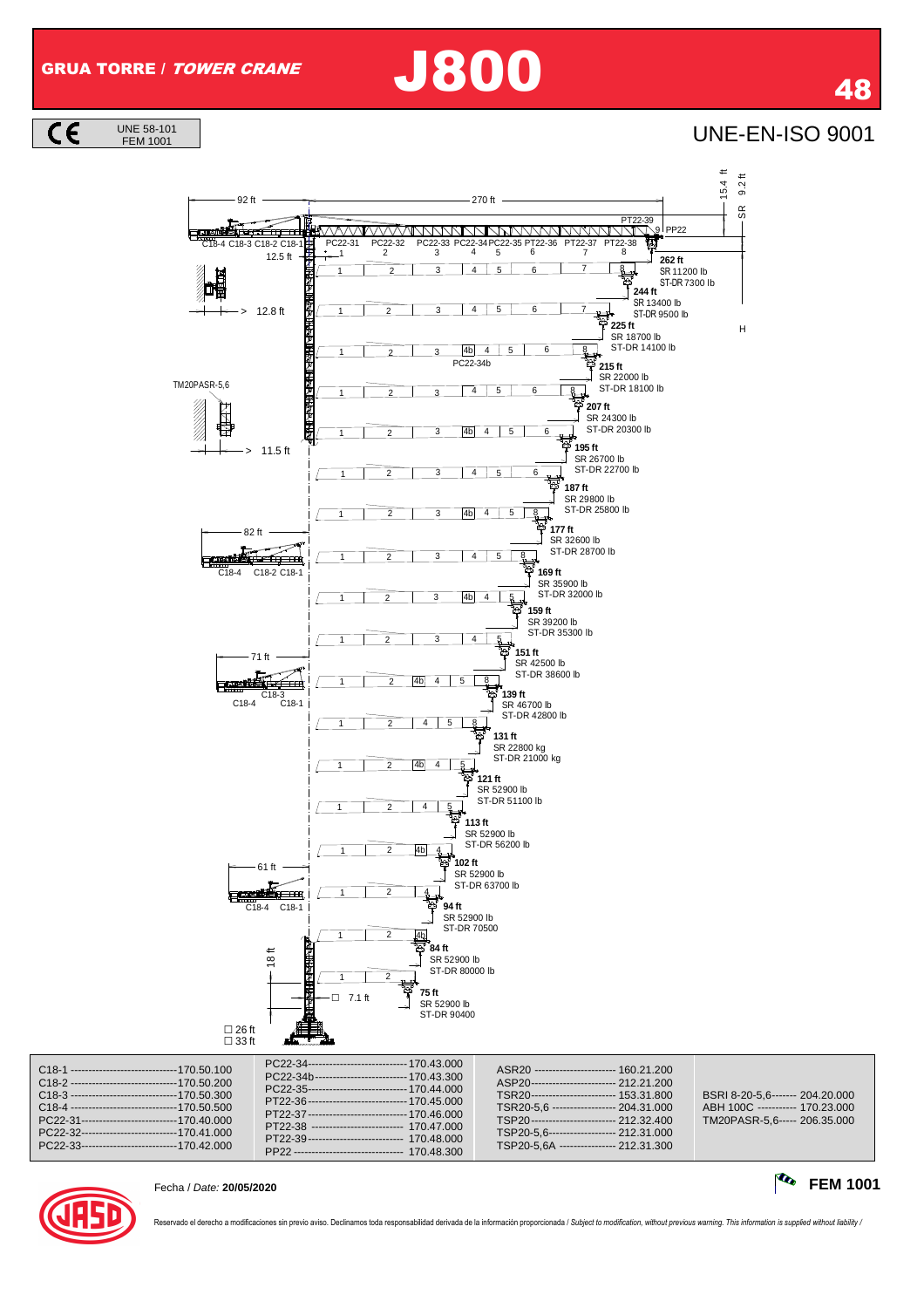**UNE-EN-ISO 9001** 

 $\overline{\mathsf{CE}}$ 









Fecha / Date: **20/05/2020 FEM 1001**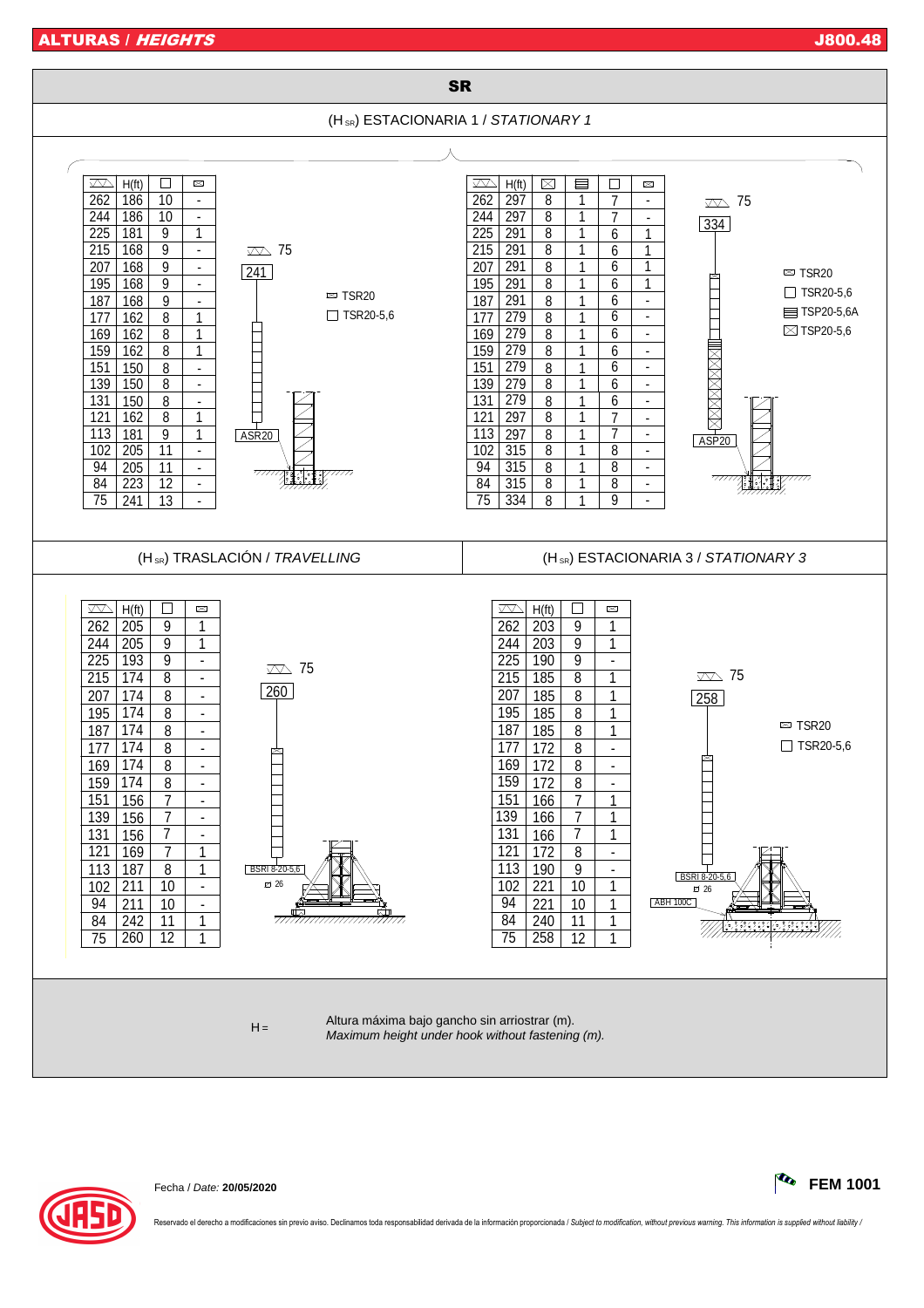ALTURAS / HEIGHTS J800.48



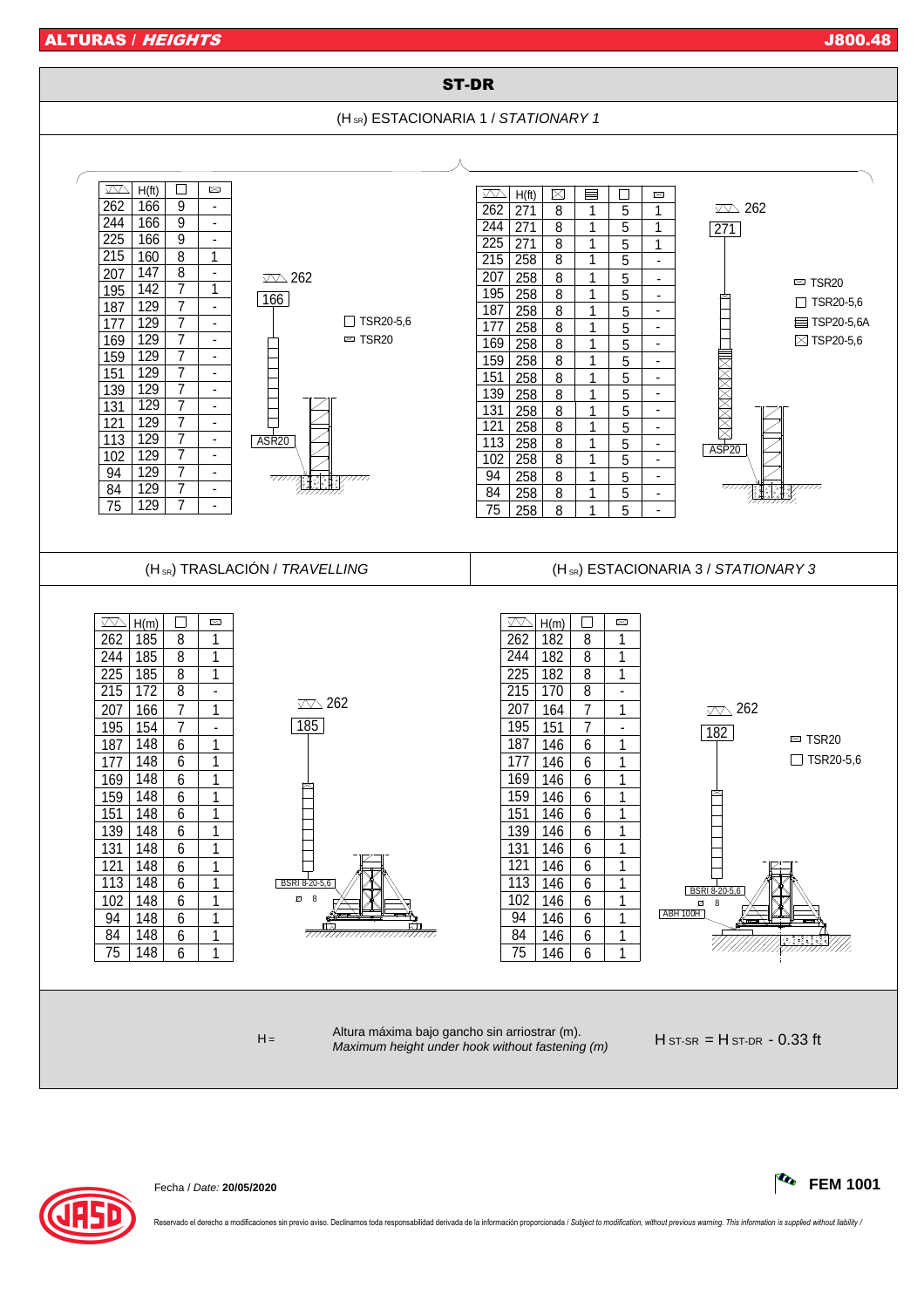ALTURAS / *HEIGHTS* J800.48 (1995) 2008 12:00 DESIGN OF THE SERVICE OF THE SERVICE OF THE SERVICE OF THE SERVICE O



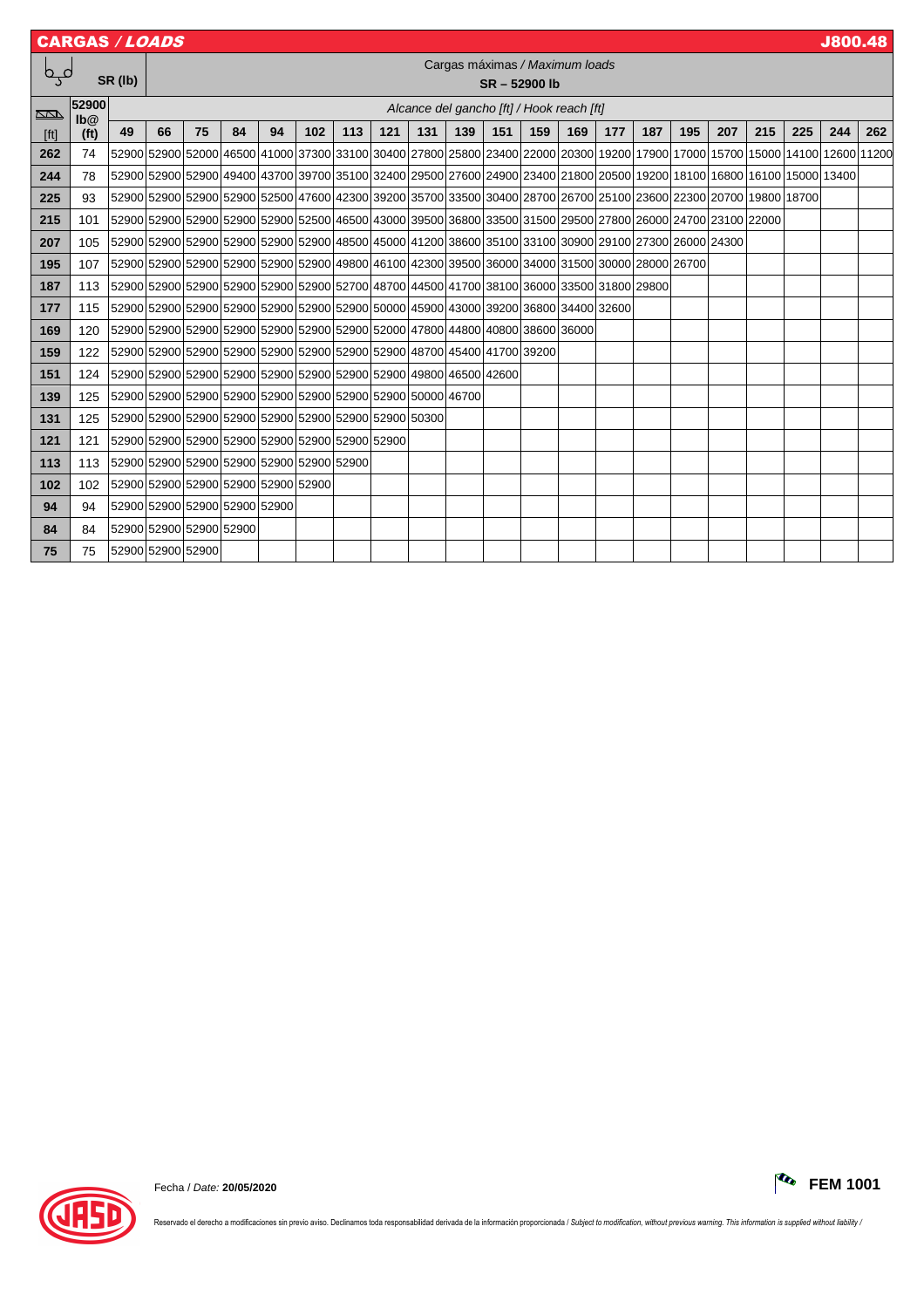|        | <b>CARGAS / LOADS</b> |                                           |                                |             |    |    |     |                          |                                                                                           |                          |     |     |                                           |     |     |                                                                                                                         |     |                          |     |     | <b>J800.48</b> |     |
|--------|-----------------------|-------------------------------------------|--------------------------------|-------------|----|----|-----|--------------------------|-------------------------------------------------------------------------------------------|--------------------------|-----|-----|-------------------------------------------|-----|-----|-------------------------------------------------------------------------------------------------------------------------|-----|--------------------------|-----|-----|----------------|-----|
| فہا    |                       |                                           | Cargas máximas / Maximum loads |             |    |    |     |                          |                                                                                           |                          |     |     |                                           |     |     |                                                                                                                         |     |                          |     |     |                |     |
|        |                       | SR (lb)                                   |                                | SR-52900 lb |    |    |     |                          |                                                                                           |                          |     |     |                                           |     |     |                                                                                                                         |     |                          |     |     |                |     |
| $\Box$ | 52900<br>lb@          |                                           |                                |             |    |    |     |                          |                                                                                           |                          |     |     | Alcance del gancho [ft] / Hook reach [ft] |     |     |                                                                                                                         |     |                          |     |     |                |     |
| [ft]   | (f <sup>t</sup> )     | 49                                        | 66                             | 75          | 84 | 94 | 102 | 113                      | 121                                                                                       | 131                      | 139 | 151 | 159                                       | 169 | 177 | 187                                                                                                                     | 195 | 207                      | 215 | 225 | 244            | 262 |
| 262    | 74                    | 52900                                     |                                |             |    |    |     |                          |                                                                                           |                          |     |     |                                           |     |     | 52900 52000 46500 41000 37300 33100 30400 27800 25800 23400 22000 20300 19200 17900 17000 15700 15000 14100 12600 11200 |     |                          |     |     |                |     |
| 244    | 78                    |                                           |                                |             |    |    |     |                          |                                                                                           |                          |     |     |                                           |     |     | 52900 52900 52900 49400 43700 39700 35100 32400 29500 27600 24900 23400 21800 20500 19200 18100 16800 16100 15000 13400 |     |                          |     |     |                |     |
| 225    | 93                    |                                           |                                |             |    |    |     |                          |                                                                                           |                          |     |     |                                           |     |     | 52900 52900 52900 52900 52900 52500 47600 42300 39200 35700 33500 30400 28700 26700 25100 23600 22300 20700 19800 18700 |     |                          |     |     |                |     |
| 215    | 101                   |                                           |                                |             |    |    |     |                          |                                                                                           |                          |     |     |                                           |     |     | 52900 52900 52900 52900 52900 52500 46500 43000 39500 36800 33500 31500 29500 27800 26000 24700 23100 22000             |     |                          |     |     |                |     |
| 207    | 105                   |                                           |                                |             |    |    |     |                          |                                                                                           |                          |     |     |                                           |     |     | 52900 52900 52900 52900 52900 52900 48500 48500 41200 38600 35100 33100 30900 29100 27300 26000 24300                   |     |                          |     |     |                |     |
| 195    | 107                   |                                           |                                |             |    |    |     |                          |                                                                                           |                          |     |     |                                           |     |     | 52900 52900 52900 52900 52900 52900 52900 48800 46100 42300 39500 36000 34000 31500 30000 28000 26700                   |     |                          |     |     |                |     |
| 187    | 113                   |                                           |                                |             |    |    |     |                          |                                                                                           |                          |     |     |                                           |     |     | 52900152900152900152900152900152900152700148700144500141700138100136000133500131800129800                               |     |                          |     |     |                |     |
| 177    | 115                   |                                           |                                |             |    |    |     |                          | 52900 52900 52900 52900 52900 52900 52900 52900 50000 45900 43000 39200 36800 34400 32600 |                          |     |     |                                           |     |     |                                                                                                                         |     |                          |     |     |                |     |
| 169    | 120                   |                                           |                                |             |    |    |     |                          | 52900 52900 52900 52900 52900 52900 52900 52900 52000 47800 44800 40800 38600 36000       |                          |     |     |                                           |     |     |                                                                                                                         |     |                          |     |     |                |     |
| 159    | 122                   |                                           |                                |             |    |    |     |                          | 52900 52900 52900 52900 52900 52900 52900 52900 52900 48700 45400 41700 39200             |                          |     |     |                                           |     |     |                                                                                                                         |     |                          |     |     |                |     |
| 151    | 124                   |                                           |                                |             |    |    |     |                          | 52900 52900 52900 52900 52900 52900 52900 52900 52900 48800 46500 42600                   |                          |     |     |                                           |     |     |                                                                                                                         |     |                          |     |     |                |     |
| 139    | 125                   |                                           |                                |             |    |    |     |                          | 52900 52900 52900 52900 52900 52900 52900 52900 52900 50000 46700                         |                          |     |     | $\overline{\phantom{0}}$                  |     |     |                                                                                                                         |     |                          |     |     |                |     |
| 131    | 125                   |                                           |                                |             |    |    |     |                          | 52900 52900 52900 52900 52900 52900 52900 52900 52900 50300                               |                          |     |     |                                           |     |     |                                                                                                                         |     |                          |     |     |                |     |
| 121    | 121                   |                                           |                                |             |    |    |     |                          | 52900 52900 52900 52900 52900 52900 52900 52900                                           | $\overline{\phantom{0}}$ |     |     |                                           |     |     |                                                                                                                         |     |                          |     |     |                |     |
| 113    | 113                   | 52900 52900 52900 52900 52900 52900 52900 |                                |             |    |    |     |                          | $\overline{\phantom{0}}$                                                                  | $\overline{\phantom{0}}$ |     |     | —                                         |     |     |                                                                                                                         |     |                          |     |     |                |     |
| 102    | 102                   | 52900 52900 52900 52900 52900 52900       |                                |             |    |    |     |                          |                                                                                           |                          |     |     | —                                         |     |     |                                                                                                                         |     |                          |     |     |                |     |
| 94     | 94                    |                                           | 52900 52900 52900 52900 52900  |             |    |    |     | $\overline{\phantom{m}}$ |                                                                                           |                          |     |     |                                           |     |     |                                                                                                                         |     | $\overline{\phantom{a}}$ |     |     |                |     |
| 84     | 84                    | 52900 52900 52900 52900                   |                                |             |    |    |     |                          |                                                                                           |                          |     |     |                                           |     |     |                                                                                                                         |     |                          |     |     |                |     |
| 75     | 75                    | 52900 52900 52900                         |                                |             |    |    |     |                          |                                                                                           |                          |     |     |                                           |     |     |                                                                                                                         |     |                          |     |     |                |     |

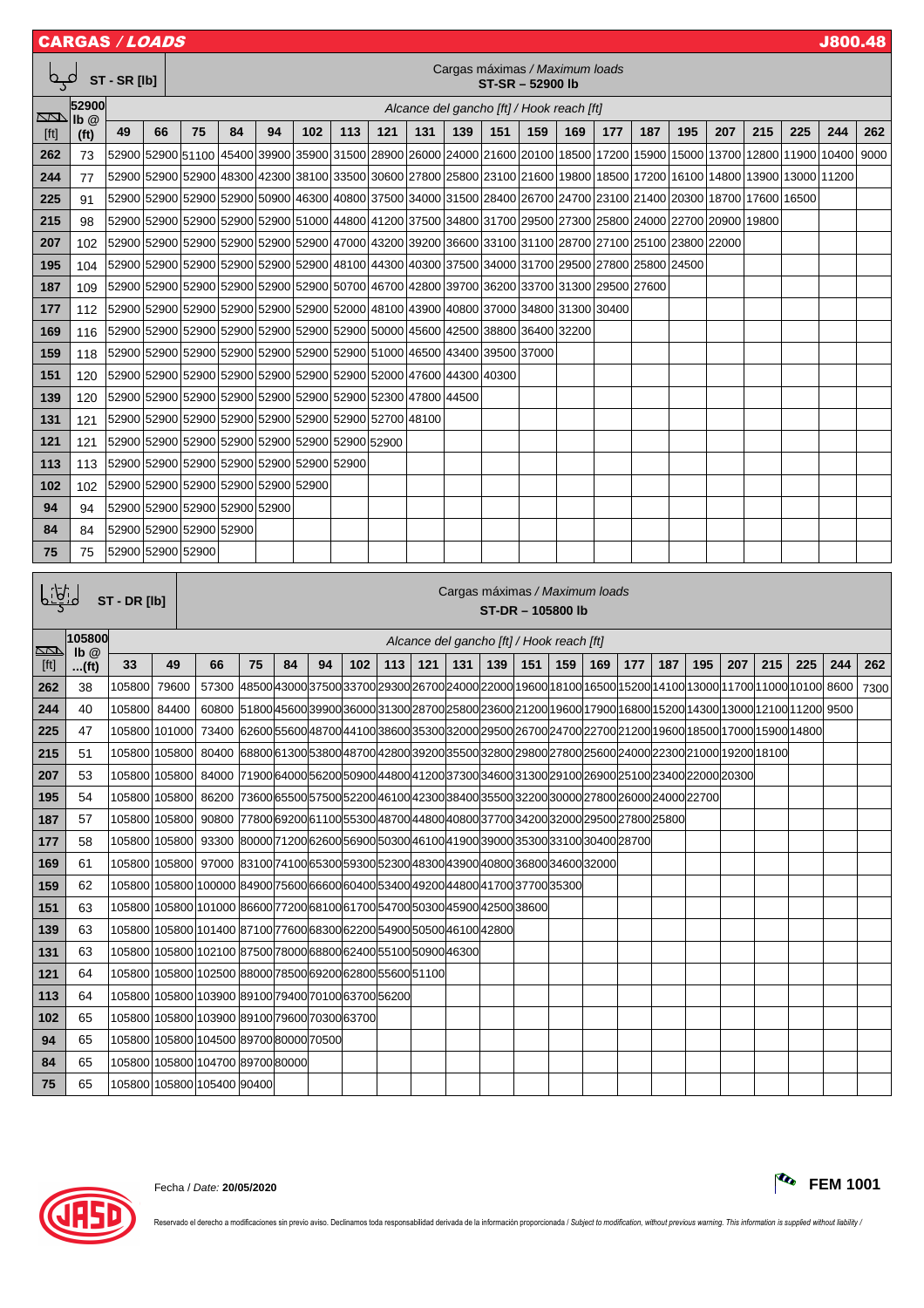|                                                                         | <b>J800.48</b><br>CARGAS <i>/ LOADS</i>         |                   |               |                                                                                                                         |                                                                                                     |    |     |     |                                                                                     |                          |       |                          |                 |                                           |                          |                          |     |     |                                                                                                 |                                                                                                                 |      |      |
|-------------------------------------------------------------------------|-------------------------------------------------|-------------------|---------------|-------------------------------------------------------------------------------------------------------------------------|-----------------------------------------------------------------------------------------------------|----|-----|-----|-------------------------------------------------------------------------------------|--------------------------|-------|--------------------------|-----------------|-------------------------------------------|--------------------------|--------------------------|-----|-----|-------------------------------------------------------------------------------------------------|-----------------------------------------------------------------------------------------------------------------|------|------|
| Cargas máximas / Maximum loads<br>فہم<br>ST - SR [lb]<br>ST-SR-52900 lb |                                                 |                   |               |                                                                                                                         |                                                                                                     |    |     |     |                                                                                     |                          |       |                          |                 |                                           |                          |                          |     |     |                                                                                                 |                                                                                                                 |      |      |
|                                                                         | 52900                                           |                   |               |                                                                                                                         |                                                                                                     |    |     |     |                                                                                     |                          |       |                          |                 | Alcance del gancho [ft] / Hook reach [ft] |                          |                          |     |     |                                                                                                 |                                                                                                                 |      |      |
| $\Box$<br>[ft]                                                          | $\mathsf{lb} \ \mathsf{@}$<br>(f <sup>t</sup> ) | 49                | 66            | 75                                                                                                                      | 84                                                                                                  | 94 | 102 | 113 | 121                                                                                 | 131                      | 139   | 151                      | 159             | 169                                       | 177                      | 187                      | 195 | 207 | 215                                                                                             | 225                                                                                                             | 244  | 262  |
| 262                                                                     | 73                                              | 52900 52900 51100 |               |                                                                                                                         | 45400 39900 35900 31500 28900 26000 24000 21600 20100 18500 17200 15900 15000 13700                 |    |     |     |                                                                                     |                          |       |                          |                 |                                           |                          |                          |     |     |                                                                                                 | 12800 11900 10400                                                                                               |      | 9000 |
| 244                                                                     | 77                                              |                   |               | 52900 52900 52900 48300 42300 38100 33500 30600 27800 25800 23100 21600 19800 18500 17200 16100 14800 13900 13000 11200 |                                                                                                     |    |     |     |                                                                                     |                          |       |                          |                 |                                           |                          |                          |     |     |                                                                                                 |                                                                                                                 |      |      |
| 225                                                                     | 91                                              |                   |               | 52900 52900 52900 52900 50900 46300 40800 37500 34000 31500 28400 26700 24700 23100 21400 20300 18700 17600 16500       |                                                                                                     |    |     |     |                                                                                     |                          |       |                          |                 |                                           |                          |                          |     |     |                                                                                                 |                                                                                                                 |      |      |
| 215                                                                     | 98                                              |                   |               | 52900 52900 52900 52900 52900 52900 51000 44800 41200 37500 34800 31700 29500 27300 25800 24000 22700 20900             |                                                                                                     |    |     |     |                                                                                     |                          |       |                          |                 |                                           |                          |                          |     |     | 19800                                                                                           |                                                                                                                 |      |      |
| 207                                                                     | 102                                             |                   |               | 52900 52900 52900 52900 52900 52900 47000 43200 39200 36600 33100 31100 28700 27100 25100 23800 22000                   |                                                                                                     |    |     |     |                                                                                     |                          |       |                          |                 |                                           |                          |                          |     |     |                                                                                                 |                                                                                                                 |      |      |
| 195                                                                     | 104                                             |                   |               | 52900 52900 52900 52900 52900 52900 48100 44300 40300 37500 34000 31700 29500 27800 25800 24500                         |                                                                                                     |    |     |     |                                                                                     |                          |       |                          |                 |                                           |                          |                          |     |     |                                                                                                 |                                                                                                                 |      |      |
| 187                                                                     | 109                                             |                   |               | 52900 52900 52900 52900 52900 52900 50700 46700 42800 39700 36200 33700 31300 29500 27600                               |                                                                                                     |    |     |     |                                                                                     |                          |       |                          |                 |                                           |                          |                          |     |     |                                                                                                 |                                                                                                                 |      |      |
| 177                                                                     | 112                                             |                   |               | 52900 52900 52900 52900 52900 52900 52900 52000 48100 43900 40800 37000 34800 31300 30400                               |                                                                                                     |    |     |     |                                                                                     |                          |       |                          |                 |                                           |                          |                          |     |     |                                                                                                 |                                                                                                                 |      |      |
| 169                                                                     | 116                                             |                   |               | 52900 52900 52900 52900 52900 52900 52900 50000 45600                                                                   |                                                                                                     |    |     |     |                                                                                     |                          |       |                          |                 | 42500 38800 36400 32200                   |                          |                          |     |     |                                                                                                 |                                                                                                                 |      |      |
| 159                                                                     | 118                                             |                   |               | 52900 52900 52900 52900 52900 52900 52900 51000 46500 43400 39500 37000                                                 |                                                                                                     |    |     |     |                                                                                     |                          |       |                          |                 |                                           |                          |                          |     |     |                                                                                                 |                                                                                                                 |      |      |
| 151                                                                     | 120                                             |                   |               | 52900 52900 52900 52900 52900 52900 52900 52000 47600 44300 40300                                                       |                                                                                                     |    |     |     |                                                                                     |                          |       |                          |                 |                                           | $\overline{\phantom{0}}$ |                          |     | —   |                                                                                                 |                                                                                                                 |      |      |
| 139                                                                     | 120                                             |                   |               | 52900 52900 52900 52900 52900 52900 52900 52300 47800                                                                   |                                                                                                     |    |     |     |                                                                                     |                          | 44500 |                          |                 |                                           |                          |                          |     |     |                                                                                                 |                                                                                                                 |      |      |
| 131                                                                     | 121                                             |                   |               | 52900 52900 52900 52900 52900 52900 52900 52700 48100                                                                   |                                                                                                     |    |     |     |                                                                                     |                          |       |                          |                 |                                           |                          |                          |     |     |                                                                                                 |                                                                                                                 |      |      |
| 121                                                                     | 121                                             |                   |               | 52900 52900 52900 52900 52900 52900 52900 52900                                                                         |                                                                                                     |    |     |     |                                                                                     | $\overline{\phantom{0}}$ |       |                          |                 |                                           |                          |                          |     |     |                                                                                                 |                                                                                                                 |      |      |
| 113                                                                     | 113                                             |                   |               | 52900 52900 52900 52900 52900 52900 52900                                                                               |                                                                                                     |    |     |     |                                                                                     |                          |       |                          |                 |                                           |                          |                          |     |     |                                                                                                 |                                                                                                                 |      |      |
| 102                                                                     | 102                                             |                   |               | 52900 52900 52900 52900 52900 52900                                                                                     |                                                                                                     |    |     |     |                                                                                     |                          |       |                          |                 |                                           |                          |                          |     |     |                                                                                                 |                                                                                                                 |      |      |
| 94                                                                      | 94                                              |                   |               | 52900 52900 52900 52900 52900                                                                                           |                                                                                                     |    |     |     |                                                                                     |                          |       |                          |                 |                                           |                          |                          |     |     |                                                                                                 |                                                                                                                 |      |      |
| 84                                                                      | 84                                              |                   |               | 52900 52900 52900 52900                                                                                                 |                                                                                                     |    |     |     |                                                                                     |                          |       |                          |                 |                                           |                          |                          |     | –   |                                                                                                 |                                                                                                                 |      |      |
| 75                                                                      | 75                                              | 52900 52900 52900 |               |                                                                                                                         |                                                                                                     |    |     |     |                                                                                     |                          |       |                          |                 |                                           |                          |                          |     |     |                                                                                                 |                                                                                                                 |      |      |
|                                                                         | Cargas máximas / Maximum loads                  |                   |               |                                                                                                                         |                                                                                                     |    |     |     |                                                                                     |                          |       |                          |                 |                                           |                          |                          |     |     |                                                                                                 |                                                                                                                 |      |      |
| لمنكنا                                                                  |                                                 | ST - DR [lb]      |               |                                                                                                                         |                                                                                                     |    |     |     |                                                                                     |                          |       |                          | ST-DR-105800 lb |                                           |                          |                          |     |     |                                                                                                 |                                                                                                                 |      |      |
|                                                                         | 105800                                          |                   |               |                                                                                                                         |                                                                                                     |    |     |     |                                                                                     |                          |       |                          |                 | Alcance del gancho [ft] / Hook reach [ft] |                          |                          |     |     |                                                                                                 |                                                                                                                 |      |      |
| <u>NN</u><br>[t]                                                        | $\mathbf{I} \mathbf{b} \mathbf{a}$              | 33                | 49            | 66                                                                                                                      | 75                                                                                                  | 84 | 94  | 102 | 113                                                                                 | 121                      | 131   | 139                      | 151             | 159                                       | 169                      | 177                      | 187 | 195 | 207<br>215                                                                                      | 225                                                                                                             | 244  | 262  |
| 262                                                                     | (ft)<br>38                                      | 105800            | 79600         | 57300                                                                                                                   |                                                                                                     |    |     |     |                                                                                     |                          |       |                          |                 |                                           |                          |                          |     |     |                                                                                                 | 48500 43000 37500 33700 29300 26700 24000 22000 19600 18100 16500 15200 14100 13000 11700 11000 10100           | 8600 | 7300 |
| 244                                                                     | 40                                              |                   | 105800 84400  |                                                                                                                         |                                                                                                     |    |     |     |                                                                                     |                          |       |                          |                 |                                           |                          |                          |     |     |                                                                                                 | 60800 51800 45600 39900 36000 31300 28700 25800 23600 21200 19600 17900 16800 15200 14300 13000 12100 1200 9500 |      |      |
| 225                                                                     | 47                                              |                   | 105800 101000 |                                                                                                                         |                                                                                                     |    |     |     |                                                                                     |                          |       |                          |                 |                                           |                          |                          |     |     |                                                                                                 | 73400 6260055600 48700 44100 38600 35300 3200 29500 26700 24700 22700 21200 19600 18500 17000 18900 1           |      |      |
| 215                                                                     | 51                                              |                   | 105800 105800 | 80400                                                                                                                   |                                                                                                     |    |     |     |                                                                                     |                          |       |                          |                 |                                           |                          |                          |     |     | 68800 61300 53800 48700 42800 39200 35500 32800 29800 27800 25600 24000 22300 21000 19200 18100 |                                                                                                                 |      |      |
| 207                                                                     | 53                                              |                   | 105800 105800 |                                                                                                                         | 84000 71900 64000 56200 50900 44800 41200 37300 34600 31300 29100 26900 25100 23400 22000 20300     |    |     |     |                                                                                     |                          |       |                          |                 |                                           |                          |                          |     |     |                                                                                                 |                                                                                                                 |      |      |
| 195                                                                     | 54                                              |                   | 105800 105800 | 86200                                                                                                                   |                                                                                                     |    |     |     | 73600 65500 57500 52200 46100 42300 38400 35500 32200 30000 27800 26000 24000 22700 |                          |       |                          |                 |                                           |                          |                          |     |     |                                                                                                 |                                                                                                                 |      |      |
| 187                                                                     | 57                                              |                   |               |                                                                                                                         |                                                                                                     |    |     |     |                                                                                     |                          |       |                          |                 |                                           |                          |                          |     |     |                                                                                                 |                                                                                                                 |      |      |
| 177                                                                     |                                                 |                   |               |                                                                                                                         | 105800 105800  90800  77800 69200 61100 55300 48700 44800 40800 37700 34200 32000 29500 27800 25800 |    |     |     |                                                                                     |                          |       |                          |                 |                                           |                          |                          |     |     |                                                                                                 |                                                                                                                 |      |      |
|                                                                         | 58                                              |                   | 105800 105800 |                                                                                                                         | 93300 80000 71200 62600 56900 50300 46100 41900 39000 35300 33100 30400 28700                       |    |     |     |                                                                                     |                          |       |                          |                 |                                           |                          |                          |     | —   |                                                                                                 |                                                                                                                 |      |      |
| 169                                                                     | 61                                              |                   | 105800 105800 |                                                                                                                         | 97000 83100 74100 65300 59300 52300 48300 43900 40800 36800 34600 32000                             |    |     |     |                                                                                     |                          |       |                          |                 |                                           |                          |                          |     |     |                                                                                                 |                                                                                                                 |      |      |
| 159                                                                     | 62                                              |                   |               | 105800 105800 100000 84900 75600 66600 60400 53400 49200 44800 41700 37700 35300                                        |                                                                                                     |    |     |     |                                                                                     |                          |       |                          |                 |                                           |                          |                          |     |     |                                                                                                 |                                                                                                                 |      |      |
| 151                                                                     | 63                                              |                   |               | 105800 105800 101000 86600 77200 68100 61700 54700 50300 45900 42500 38600                                              |                                                                                                     |    |     |     |                                                                                     |                          |       |                          |                 |                                           |                          | $\overline{\phantom{0}}$ |     |     |                                                                                                 |                                                                                                                 |      |      |
| 139                                                                     | 63                                              |                   |               | 105800 105800 101400 87100 77600 68300 62200 54900 50500 46100 42800                                                    |                                                                                                     |    |     |     |                                                                                     |                          |       |                          |                 |                                           |                          | –                        |     |     |                                                                                                 |                                                                                                                 |      |      |
| 131                                                                     | 63                                              |                   |               | 105800 105800 102100 87500 78000 68800 62400 55100 50900 46300                                                          |                                                                                                     |    |     |     |                                                                                     |                          |       |                          |                 | -                                         |                          |                          |     |     |                                                                                                 |                                                                                                                 |      |      |
| 121                                                                     | 64                                              |                   |               | 105800 105800 102500 88000 78500 69200 62800 55600 51100                                                                |                                                                                                     |    |     |     |                                                                                     |                          |       |                          |                 |                                           |                          |                          |     |     |                                                                                                 |                                                                                                                 |      |      |
| 113                                                                     | 64                                              |                   |               | 105800 105800 103900 89100 79400 70100 63700 56200                                                                      |                                                                                                     |    |     |     |                                                                                     |                          |       | -                        |                 | -                                         |                          |                          |     |     |                                                                                                 |                                                                                                                 |      |      |
| 102                                                                     | 65                                              |                   |               | 105800 105800 103900 89100 79600 70300 63700                                                                            |                                                                                                     |    |     |     |                                                                                     | $\overline{\phantom{0}}$ |       | $\overline{\phantom{0}}$ |                 | $\overline{\phantom{0}}$                  |                          |                          |     |     | -                                                                                               |                                                                                                                 |      |      |
| 94                                                                      | 65                                              |                   |               | 105800 105800 104500 89700 80000 70500                                                                                  |                                                                                                     |    |     |     |                                                                                     |                          |       |                          |                 |                                           |                          |                          |     |     |                                                                                                 |                                                                                                                 |      |      |
| 84                                                                      | 65                                              |                   |               | 105800 105800 104700 89700 80000                                                                                        |                                                                                                     |    |     |     |                                                                                     |                          |       |                          |                 |                                           |                          |                          |     |     |                                                                                                 |                                                                                                                 |      |      |

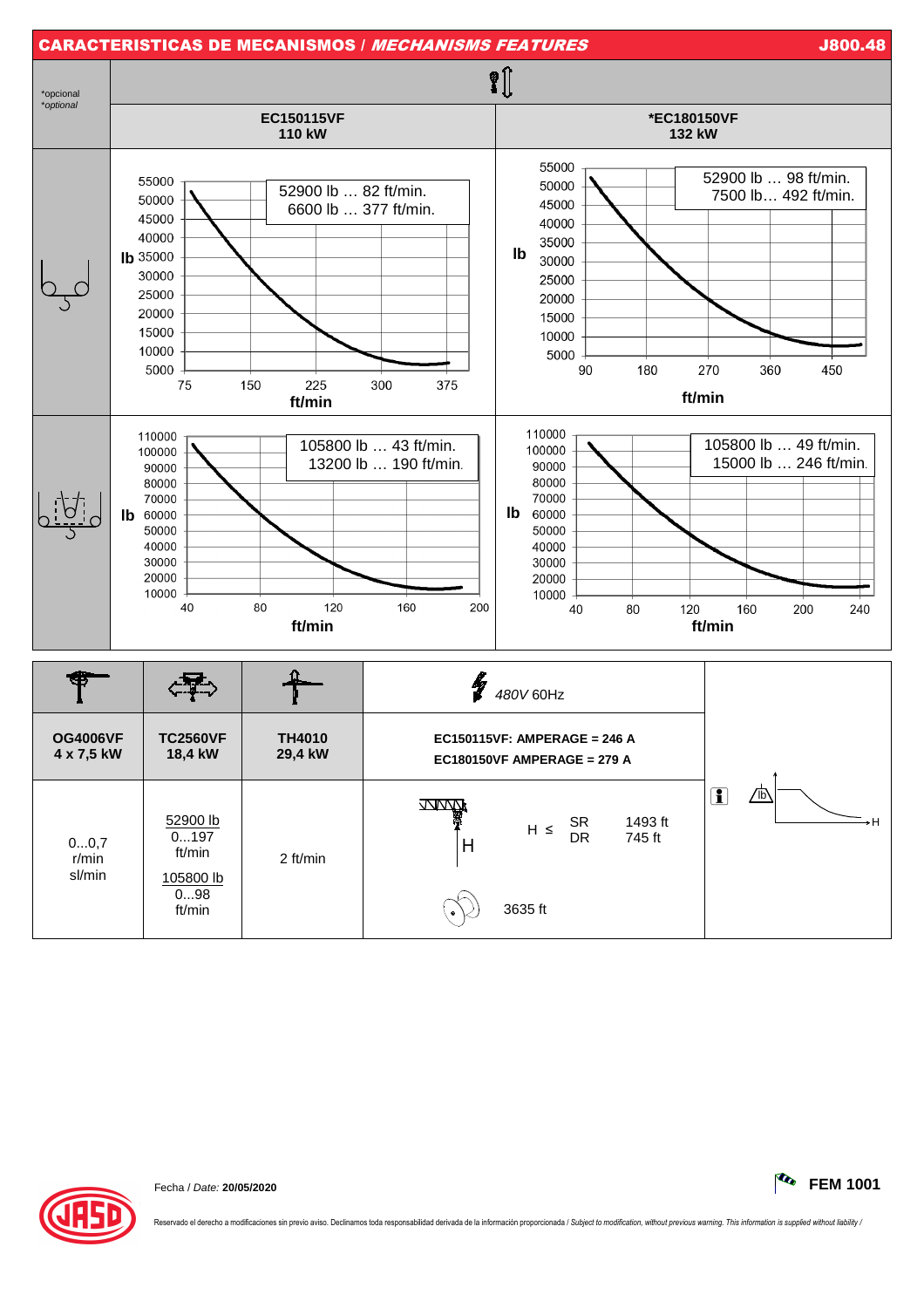

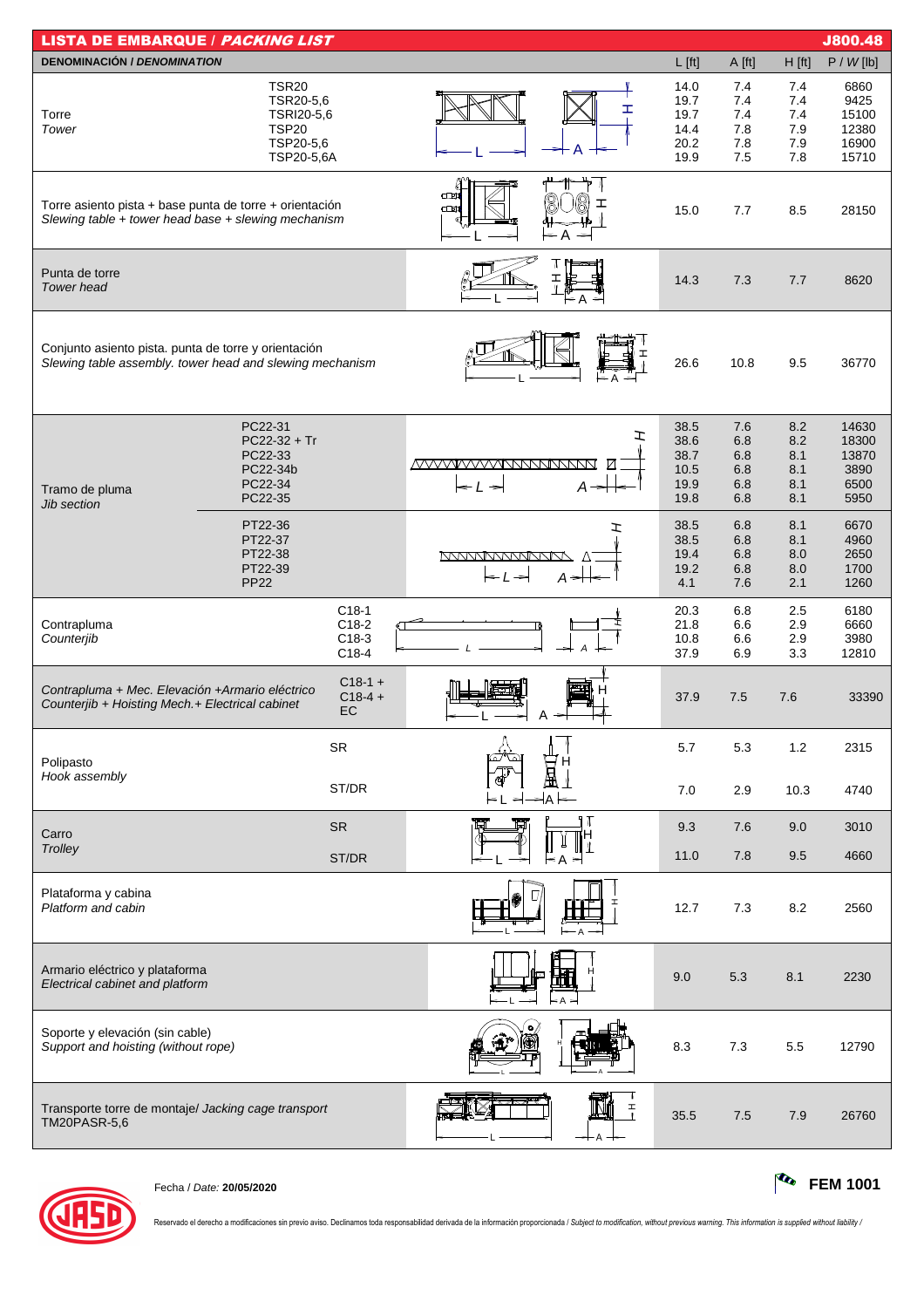| <b>LISTA DE EMBARQUE / PACKING LIST</b><br><b>J800.48</b>                                                        |                                                                                    |                                          |                                                                                 |                                              |                                        |                                        |                                                  |  |  |  |  |
|------------------------------------------------------------------------------------------------------------------|------------------------------------------------------------------------------------|------------------------------------------|---------------------------------------------------------------------------------|----------------------------------------------|----------------------------------------|----------------------------------------|--------------------------------------------------|--|--|--|--|
| <b>DENOMINACIÓN / DENOMINATION</b>                                                                               |                                                                                    |                                          |                                                                                 | $L$ [ft]                                     | A [ft]                                 | $H$ [ft]                               | P / W [lb]                                       |  |  |  |  |
| Torre<br>Tower                                                                                                   | <b>TSR20</b><br>TSR20-5,6<br>TSRI20-5,6<br><b>TSP20</b><br>TSP20-5,6<br>TSP20-5,6A |                                          | ェ<br>A                                                                          | 14.0<br>19.7<br>19.7<br>14.4<br>20.2<br>19.9 | 7.4<br>7.4<br>7.4<br>7.8<br>7.8<br>7.5 | 7.4<br>7.4<br>7.4<br>7.9<br>7.9<br>7.8 | 6860<br>9425<br>15100<br>12380<br>16900<br>15710 |  |  |  |  |
| Torre asiento pista + base punta de torre + orientación<br>Slewing table + tower head base + slewing mechanism   |                                                                                    |                                          | Œ<br>Œ<br>$\rightarrow$                                                         | 15.0                                         | 7.7                                    | 8.5                                    | 28150                                            |  |  |  |  |
| Punta de torre<br><b>Tower head</b>                                                                              |                                                                                    |                                          |                                                                                 | 14.3                                         | 7.3                                    | 7.7                                    | 8620                                             |  |  |  |  |
| Conjunto asiento pista. punta de torre y orientación<br>Slewing table assembly. tower head and slewing mechanism |                                                                                    |                                          |                                                                                 | 26.6                                         | 10.8                                   | 9.5                                    | 36770                                            |  |  |  |  |
| Tramo de pluma<br><b>Jib section</b>                                                                             | PC22-31<br>$PC22-32 + Tr$<br>PC22-33<br>PC22-34b<br>PC22-34<br>PC22-35             |                                          | エ<br><u>MVVVIVVVVINNNNNNNN</u><br>Ø<br>$A \rightarrow$<br>$\leq$ $\perp$ $\geq$ | 38.5<br>38.6<br>38.7<br>10.5<br>19.9<br>19.8 | 7.6<br>6.8<br>6.8<br>6.8<br>6.8<br>6.8 | 8.2<br>8.2<br>8.1<br>8.1<br>8.1<br>8.1 | 14630<br>18300<br>13870<br>3890<br>6500<br>5950  |  |  |  |  |
|                                                                                                                  | PT22-36<br>PT22-37<br>PT22-38<br>PT22-39<br><b>PP22</b>                            |                                          | ェ<br><u>MANAMANANA</u><br>A <del>&gt; ⊞</del>                                   | 38.5<br>38.5<br>19.4<br>19.2<br>4.1          | 6.8<br>6.8<br>6.8<br>6.8<br>7.6        | 8.1<br>8.1<br>8.0<br>8.0<br>2.1        | 6670<br>4960<br>2650<br>1700<br>1260             |  |  |  |  |
| Contrapluma<br>Counterjib                                                                                        |                                                                                    | $C18-1$<br>$C18-2$<br>$C18-3$<br>$C18-4$ |                                                                                 | 20.3<br>21.8<br>10.8<br>37.9                 | 6.8<br>6.6<br>6.6<br>6.9               | 2.5<br>2.9<br>2.9<br>3.3               | 6180<br>6660<br>3980<br>12810                    |  |  |  |  |
| Contrapluma + Mec. Elevación + Armario eléctrico<br>Counterjib + Hoisting Mech.+ Electrical cabinet              |                                                                                    | $C18-1 +$<br>$C18-4 +$<br>EC             |                                                                                 | 37.9                                         | 7.5                                    | 7.6                                    | 33390                                            |  |  |  |  |
| Polipasto<br>Hook assembly                                                                                       |                                                                                    | <b>SR</b><br>ST/DR                       |                                                                                 | 5.7<br>7.0                                   | 5.3<br>2.9                             | 1.2<br>10.3                            | 2315<br>4740                                     |  |  |  |  |
|                                                                                                                  |                                                                                    |                                          | A                                                                               |                                              |                                        |                                        |                                                  |  |  |  |  |
| Carro<br>Trolley                                                                                                 |                                                                                    | <b>SR</b>                                | 11 N<br>н                                                                       | 9.3                                          | 7.6                                    | 9.0                                    | 3010                                             |  |  |  |  |
|                                                                                                                  |                                                                                    | ST/DR                                    | < A                                                                             | 11.0                                         | 7.8                                    | 9.5                                    | 4660                                             |  |  |  |  |
| Plataforma y cabina<br>Platform and cabin                                                                        |                                                                                    |                                          |                                                                                 | 12.7                                         | 7.3                                    | 8.2                                    | 2560                                             |  |  |  |  |
| Armario eléctrico y plataforma<br>Electrical cabinet and platform                                                |                                                                                    |                                          |                                                                                 | 9.0                                          | 5.3                                    | 8.1                                    | 2230                                             |  |  |  |  |
| Soporte y elevación (sin cable)<br>Support and hoisting (without rope)                                           |                                                                                    |                                          |                                                                                 | 8.3                                          | 7.3                                    | 5.5                                    | 12790                                            |  |  |  |  |
| Transporte torre de montaje/ Jacking cage transport<br><b>TM20PASR-5,6</b>                                       |                                                                                    |                                          | $\mathbf{r}$<br>I<br>T                                                          | 35.5                                         | 7.5                                    | 7.9                                    | 26760                                            |  |  |  |  |



Fecha / Date: **20/05/2020 FEM 1001**